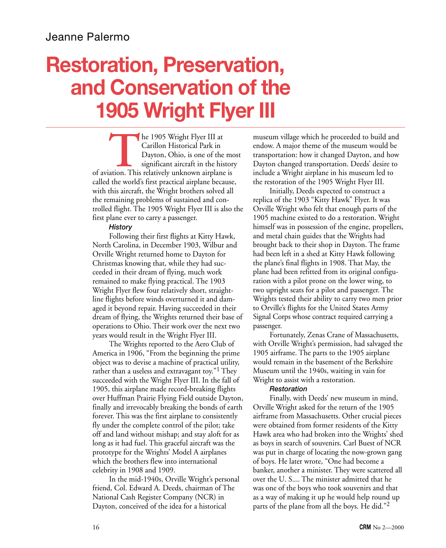# **Restoration, Preservation, and Conservation of the 1905 Wright Flyer III**

**THE 1905 Wright Flyer III at**<br>Carillon Historical Park in<br>Dayton, Ohio, is one of the m<br>significant aircraft in the histor<br>of aviation. This relatively unknown airplane is Carillon Historical Park in Dayton, Ohio, is one of the most significant aircraft in the history called the world's first practical airplane because, with this aircraft, the Wright brothers solved all the remaining problems of sustained and controlled flight. The 1905 Wright Flyer III is also the first plane ever to carry a passenger.

#### *History*

Following their first flights at Kitty Hawk, North Carolina, in December 1903, Wilbur and Orville Wright returned home to Dayton for Christmas knowing that, while they had succeeded in their dream of flying, much work remained to make flying practical. The 1903 Wright Flyer flew four relatively short, straightline flights before winds overturned it and damaged it beyond repair. Having succeeded in their dream of flying, the Wrights returned their base of operations to Ohio. Their work over the next two years would result in the Wright Flyer III.

The Wrights reported to the Aero Club of America in 1906, "From the beginning the prime object was to devise a machine of practical utility, rather than a useless and extravagant toy."<sup>1</sup> They succeeded with the Wright Flyer III. In the fall of 1905, this airplane made record-breaking flights over Huffman Prairie Flying Field outside Dayton, finally and irrevocably breaking the bonds of earth forever. This was the first airplane to consistently fly under the complete control of the pilot; take off and land without mishap; and stay aloft for as long as it had fuel. This graceful aircraft was the prototype for the Wrights' Model A airplanes which the brothers flew into international celebrity in 1908 and 1909.

In the mid-1940s, Orville Wright's personal friend, Col. Edward A. Deeds, chairman of The National Cash Register Company (NCR) in Dayton, conceived of the idea for a historical

museum village which he proceeded to build and endow. A major theme of the museum would be transportation: how it changed Dayton, and how Dayton changed transportation. Deeds' desire to include a Wright airplane in his museum led to the restoration of the 1905 Wright Flyer III.

Initially, Deeds expected to construct a replica of the 1903 "Kitty Hawk" Flyer. It was Orville Wright who felt that enough parts of the 1905 machine existed to do a restoration. Wright himself was in possession of the engine, propellers, and metal chain guides that the Wrights had brought back to their shop in Dayton. The frame had been left in a shed at Kitty Hawk following the plane's final flights in 1908. That May, the plane had been refitted from its original configuration with a pilot prone on the lower wing, to two upright seats for a pilot and passenger. The Wrights tested their ability to carry two men prior to Orville's flights for the United States Army Signal Corps whose contract required carrying a passenger.

Fortunately, Zenas Crane of Massachusetts, with Orville Wright's permission, had salvaged the 1905 airframe. The parts to the 1905 airplane would remain in the basement of the Berkshire Museum until the 1940s, waiting in vain for Wright to assist with a restoration.

#### *Restoration*

Finally, with Deeds' new museum in mind, Orville Wright asked for the return of the 1905 airframe from Massachusetts. Other crucial pieces were obtained from former residents of the Kitty Hawk area who had broken into the Wrights' shed as boys in search of souvenirs. Carl Buest of NCR was put in charge of locating the now-grown gang of boys. He later wrote, "One had become a banker, another a minister. They were scattered all over the U. S.... The minister admitted that he was one of the boys who took souvenirs and that as a way of making it up he would help round up parts of the plane from all the boys. He did."2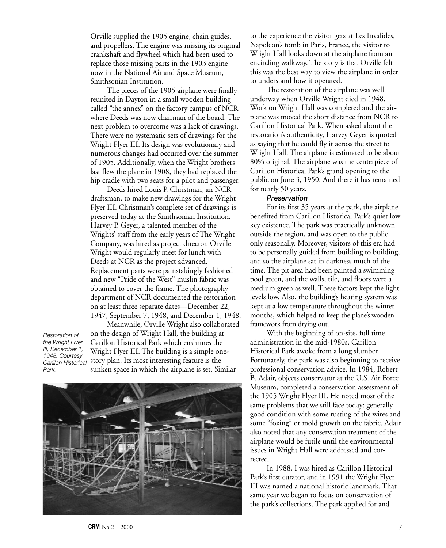Orville supplied the 1905 engine, chain guides, and propellers. The engine was missing its original crankshaft and flywheel which had been used to replace those missing parts in the 1903 engine now in the National Air and Space Museum, Smithsonian Institution.

The pieces of the 1905 airplane were finally reunited in Dayton in a small wooden building called "the annex" on the factory campus of NCR where Deeds was now chairman of the board. The next problem to overcome was a lack of drawings. There were no systematic sets of drawings for the Wright Flyer III. Its design was evolutionary and numerous changes had occurred over the summer of 1905. Additionally, when the Wright brothers last flew the plane in 1908, they had replaced the hip cradle with two seats for a pilot and passenger.

Deeds hired Louis P. Christman, an NCR draftsman, to make new drawings for the Wright Flyer III. Christman's complete set of drawings is preserved today at the Smithsonian Institution. Harvey P. Geyer, a talented member of the Wrights' staff from the early years of The Wright Company, was hired as project director. Orville Wright would regularly meet for lunch with Deeds at NCR as the project advanced. Replacement parts were painstakingly fashioned and new "Pride of the West" muslin fabric was obtained to cover the frame. The photography department of NCR documented the restoration on at least three separate dates—December 22, 1947, September 7, 1948, and December 1, 1948.

*Restoration of the Wright Flyer III, December 1, 1948. Courtesy Park.*

Meanwhile, Orville Wright also collaborated on the design of Wright Hall, the building at Carillon Historical Park which enshrines the Wright Flyer III. The building is a simple onestory plan. Its most interesting feature is the *Carillon Historical* sunken space in which the airplane is set. Similar



to the experience the visitor gets at Les Invalides, Napoleon's tomb in Paris, France, the visitor to Wright Hall looks down at the airplane from an encircling walkway. The story is that Orville felt this was the best way to view the airplane in order to understand how it operated.

The restoration of the airplane was well underway when Orville Wright died in 1948. Work on Wright Hall was completed and the airplane was moved the short distance from NCR to Carillon Historical Park. When asked about the restoration's authenticity, Harvey Geyer is quoted as saying that he could fly it across the street to Wright Hall. The airplane is estimated to be about 80% original. The airplane was the centerpiece of Carillon Historical Park's grand opening to the public on June 3, 1950. And there it has remained for nearly 50 years.

#### *Preservation*

For its first 35 years at the park, the airplane benefited from Carillon Historical Park's quiet low key existence. The park was practically unknown outside the region, and was open to the public only seasonally. Moreover, visitors of this era had to be personally guided from building to building, and so the airplane sat in darkness much of the time. The pit area had been painted a swimming pool green, and the walls, tile, and floors were a medium green as well. These factors kept the light levels low. Also, the building's heating system was kept at a low temperature throughout the winter months, which helped to keep the plane's wooden framework from drying out.

With the beginning of on-site, full time administration in the mid-1980s, Carillon Historical Park awoke from a long slumber. Fortunately, the park was also beginning to receive professional conservation advice. In 1984, Robert B. Adair, objects conservator at the U.S. Air Force Museum, completed a conservation assessment of the 1905 Wright Flyer III. He noted most of the same problems that we still face today: generally good condition with some rusting of the wires and some "foxing" or mold growth on the fabric. Adair also noted that any conservation treatment of the airplane would be futile until the environmental issues in Wright Hall were addressed and corrected.

In 1988, I was hired as Carillon Historical Park's first curator, and in 1991 the Wright Flyer III was named a national historic landmark. That same year we began to focus on conservation of the park's collections. The park applied for and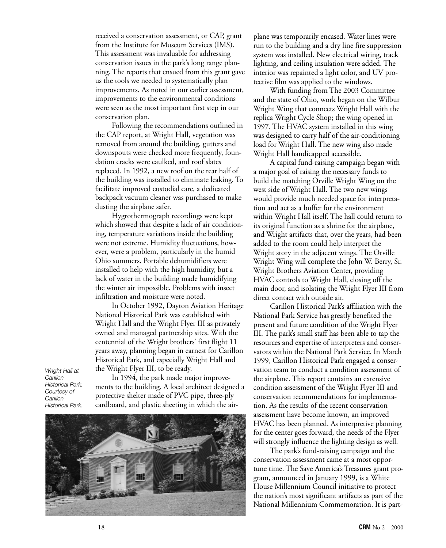received a conservation assessment, or CAP, grant from the Institute for Museum Services (IMS). This assessment was invaluable for addressing conservation issues in the park's long range planning. The reports that ensued from this grant gave us the tools we needed to systematically plan improvements. As noted in our earlier assessment, improvements to the environmental conditions were seen as the most important first step in our conservation plan.

Following the recommendations outlined in the CAP report, at Wright Hall, vegetation was removed from around the building, gutters and downspouts were checked more frequently, foundation cracks were caulked, and roof slates replaced. In 1992, a new roof on the rear half of the building was installed to eliminate leaking. To facilitate improved custodial care, a dedicated backpack vacuum cleaner was purchased to make dusting the airplane safer.

Hygrothermograph recordings were kept which showed that despite a lack of air conditioning, temperature variations inside the building were not extreme. Humidity fluctuations, however, were a problem, particularly in the humid Ohio summers. Portable dehumidifiers were installed to help with the high humidity, but a lack of water in the building made humidifying the winter air impossible. Problems with insect infiltration and moisture were noted.

In October 1992, Dayton Aviation Heritage National Historical Park was established with Wright Hall and the Wright Flyer III as privately owned and managed partnership sites. With the centennial of the Wright brothers' first flight 11 years away, planning began in earnest for Carillon Historical Park, and especially Wright Hall and the Wright Flyer III, to be ready.

*Wright Hall at Carillon Historical Park. Courtesy of Carillon Historical Park.*

In 1994, the park made major improvements to the building. A local architect designed a protective shelter made of PVC pipe, three-ply cardboard, and plastic sheeting in which the air-



plane was temporarily encased. Water lines were run to the building and a dry line fire suppression system was installed. New electrical wiring, track lighting, and ceiling insulation were added. The interior was repainted a light color, and UV protective film was applied to the windows.

With funding from The 2003 Committee and the state of Ohio, work began on the Wilbur Wright Wing that connects Wright Hall with the replica Wright Cycle Shop; the wing opened in 1997. The HVAC system installed in this wing was designed to carry half of the air-conditioning load for Wright Hall. The new wing also made Wright Hall handicapped accessible.

A capital fund-raising campaign began with a major goal of raising the necessary funds to build the matching Orville Wright Wing on the west side of Wright Hall. The two new wings would provide much needed space for interpretation and act as a buffer for the environment within Wright Hall itself. The hall could return to its original function as a shrine for the airplane, and Wright artifacts that, over the years, had been added to the room could help interpret the Wright story in the adjacent wings. The Orville Wright Wing will complete the John W. Berry, Sr. Wright Brothers Aviation Center, providing HVAC controls to Wright Hall, closing off the main door, and isolating the Wright Flyer III from direct contact with outside air.

Carillon Historical Park's affiliation with the National Park Service has greatly benefited the present and future condition of the Wright Flyer III. The park's small staff has been able to tap the resources and expertise of interpreters and conservators within the National Park Service. In March 1999, Carillon Historical Park engaged a conservation team to conduct a condition assessment of the airplane. This report contains an extensive condition assessment of the Wright Flyer III and conservation recommendations for implementation. As the results of the recent conservation assessment have become known, an improved HVAC has been planned. As interpretive planning for the center goes forward, the needs of the Flyer will strongly influence the lighting design as well.

The park's fund-raising campaign and the conservation assessment came at a most opportune time. The Save America's Treasures grant program, announced in January 1999, is a White House Millennium Council initiative to protect the nation's most significant artifacts as part of the National Millennium Commemoration. It is part-